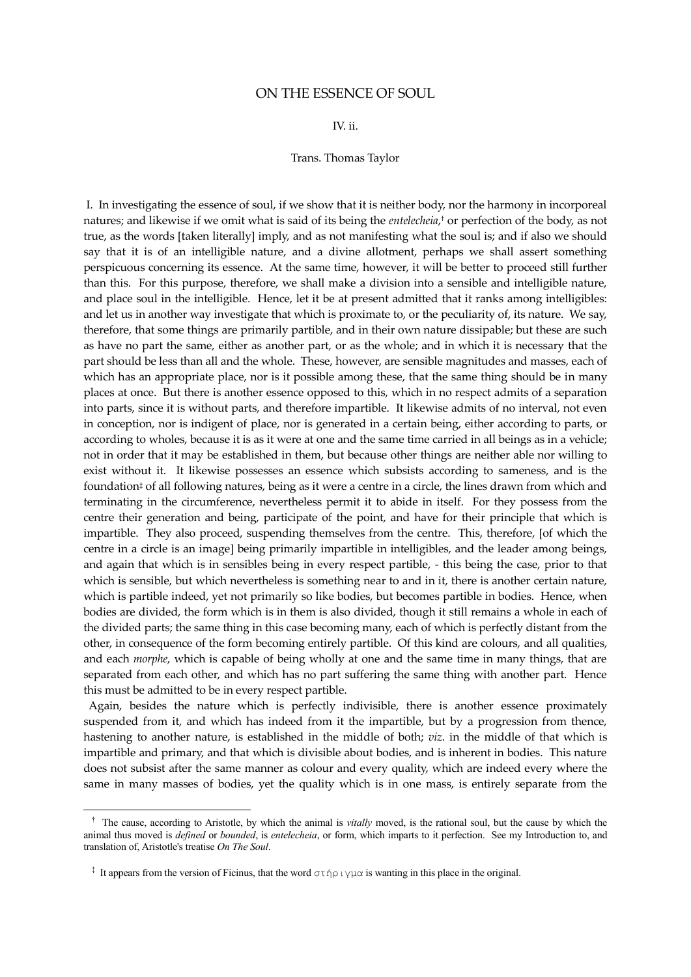## ON THE ESSENCE OF SOUL

## IV. ii.

## Trans. Thomas Taylor

I. In investigating the essence of soul, if we show that it is neither body, nor the harmony in incorporeal natures; and likewise if we omit what is said of its being the *entelecheia*, † or perfection of the body, as not true, as the words [taken literally] imply, and as not manifesting what the soul is; and if also we should say that it is of an intelligible nature, and a divine allotment, perhaps we shall assert something perspicuous concerning its essence. At the same time, however, it will be better to proceed still further than this. For this purpose, therefore, we shall make a division into a sensible and intelligible nature, and place soul in the intelligible. Hence, let it be at present admitted that it ranks among intelligibles: and let us in another way investigate that which is proximate to, or the peculiarity of, its nature. We say, therefore, that some things are primarily partible, and in their own nature dissipable; but these are such as have no part the same, either as another part, or as the whole; and in which it is necessary that the part should be less than all and the whole. These, however, are sensible magnitudes and masses, each of which has an appropriate place, nor is it possible among these, that the same thing should be in many places at once. But there is another essence opposed to this, which in no respect admits of a separation into parts, since it is without parts, and therefore impartible. It likewise admits of no interval, not even in conception, nor is indigent of place, nor is generated in a certain being, either according to parts, or according to wholes, because it is as it were at one and the same time carried in all beings as in a vehicle; not in order that it may be established in them, but because other things are neither able nor willing to exist without it. It likewise possesses an essence which subsists according to sameness, and is the foundation‡ of all following natures, being as it were a centre in a circle, the lines drawn from which and terminating in the circumference, nevertheless permit it to abide in itself. For they possess from the centre their generation and being, participate of the point, and have for their principle that which is impartible. They also proceed, suspending themselves from the centre. This, therefore, [of which the centre in a circle is an image] being primarily impartible in intelligibles, and the leader among beings, and again that which is in sensibles being in every respect partible, - this being the case, prior to that which is sensible, but which nevertheless is something near to and in it, there is another certain nature, which is partible indeed, yet not primarily so like bodies, but becomes partible in bodies. Hence, when bodies are divided, the form which is in them is also divided, though it still remains a whole in each of the divided parts; the same thing in this case becoming many, each of which is perfectly distant from the other, in consequence of the form becoming entirely partible. Of this kind are colours, and all qualities, and each *morphe*, which is capable of being wholly at one and the same time in many things, that are separated from each other, and which has no part suffering the same thing with another part. Hence this must be admitted to be in every respect partible.

 Again, besides the nature which is perfectly indivisible, there is another essence proximately suspended from it, and which has indeed from it the impartible, but by a progression from thence, hastening to another nature, is established in the middle of both; *viz*. in the middle of that which is impartible and primary, and that which is divisible about bodies, and is inherent in bodies. This nature does not subsist after the same manner as colour and every quality, which are indeed every where the same in many masses of bodies, yet the quality which is in one mass, is entirely separate from the

÷,

† The cause, according to Aristotle, by which the animal is *vitally* moved, is the rational soul, but the cause by which the animal thus moved is *defined* or *bounded*, is *entelecheia*, or form, which imparts to it perfection. See my Introduction to, and translation of, Aristotle's treatise *On The Soul*.

<sup>&</sup>lt;sup>‡</sup> It appears from the version of Ficinus, that the word  $\sigma \tau \eta \rho \psi \rho \alpha$  is wanting in this place in the original.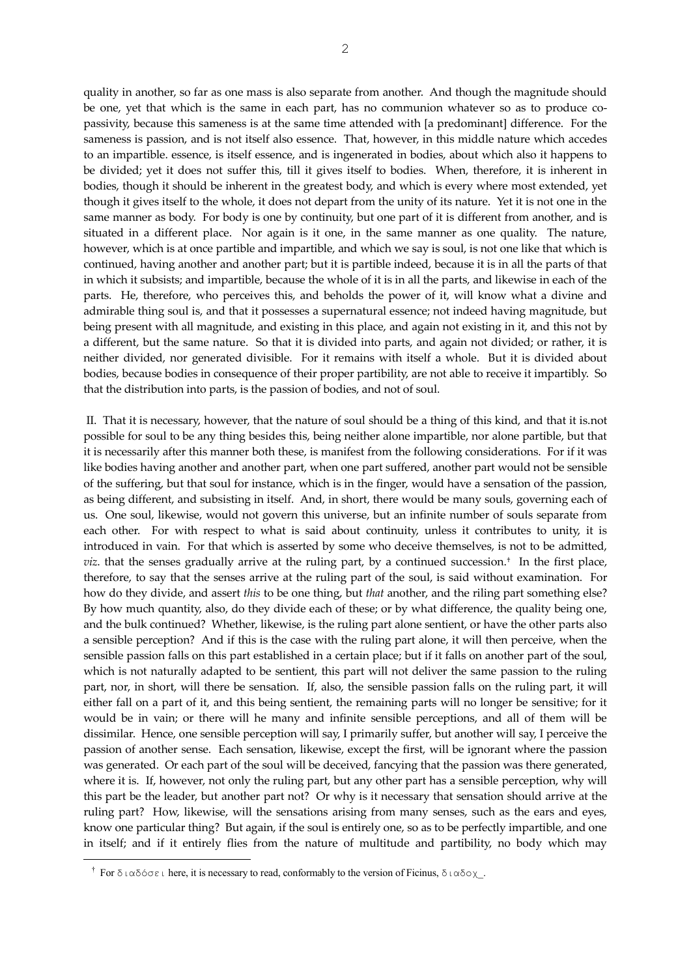quality in another, so far as one mass is also separate from another. And though the magnitude should be one, yet that which is the same in each part, has no communion whatever so as to produce copassivity, because this sameness is at the same time attended with [a predominant] difference. For the sameness is passion, and is not itself also essence. That, however, in this middle nature which accedes to an impartible. essence, is itself essence, and is ingenerated in bodies, about which also it happens to be divided; yet it does not suffer this, till it gives itself to bodies. When, therefore, it is inherent in bodies, though it should be inherent in the greatest body, and which is every where most extended, yet though it gives itself to the whole, it does not depart from the unity of its nature. Yet it is not one in the same manner as body. For body is one by continuity, but one part of it is different from another, and is situated in a different place. Nor again is it one, in the same manner as one quality. The nature, however, which is at once partible and impartible, and which we say is soul, is not one like that which is continued, having another and another part; but it is partible indeed, because it is in all the parts of that in which it subsists; and impartible, because the whole of it is in all the parts, and likewise in each of the parts. He, therefore, who perceives this, and beholds the power of it, will know what a divine and admirable thing soul is, and that it possesses a supernatural essence; not indeed having magnitude, but being present with all magnitude, and existing in this place, and again not existing in it, and this not by a different, but the same nature. So that it is divided into parts, and again not divided; or rather, it is neither divided, nor generated divisible. For it remains with itself a whole. But it is divided about bodies, because bodies in consequence of their proper partibility, are not able to receive it impartibly. So that the distribution into parts, is the passion of bodies, and not of soul.

II. That it is necessary, however, that the nature of soul should be a thing of this kind, and that it is.not possible for soul to be any thing besides this, being neither alone impartible, nor alone partible, but that it is necessarily after this manner both these, is manifest from the following considerations. For if it was like bodies having another and another part, when one part suffered, another part would not be sensible of the suffering, but that soul for instance, which is in the finger, would have a sensation of the passion, as being different, and subsisting in itself. And, in short, there would be many souls, governing each of us. One soul, likewise, would not govern this universe, but an infinite number of souls separate from each other. For with respect to what is said about continuity, unless it contributes to unity, it is introduced in vain. For that which is asserted by some who deceive themselves, is not to be admitted, *viz*. that the senses gradually arrive at the ruling part, by a continued succession.<sup>†</sup> In the first place, therefore, to say that the senses arrive at the ruling part of the soul, is said without examination. For how do they divide, and assert *this* to be one thing, but *that* another, and the riling part something else? By how much quantity, also, do they divide each of these; or by what difference, the quality being one, and the bulk continued? Whether, likewise, is the ruling part alone sentient, or have the other parts also a sensible perception? And if this is the case with the ruling part alone, it will then perceive, when the sensible passion falls on this part established in a certain place; but if it falls on another part of the soul, which is not naturally adapted to be sentient, this part will not deliver the same passion to the ruling part, nor, in short, will there be sensation. If, also, the sensible passion falls on the ruling part, it will either fall on a part of it, and this being sentient, the remaining parts will no longer be sensitive; for it would be in vain; or there will he many and infinite sensible perceptions, and all of them will be dissimilar. Hence, one sensible perception will say, I primarily suffer, but another will say, I perceive the passion of another sense. Each sensation, likewise, except the first, will be ignorant where the passion was generated. Or each part of the soul will be deceived, fancying that the passion was there generated, where it is. If, however, not only the ruling part, but any other part has a sensible perception, why will this part be the leader, but another part not? Or why is it necessary that sensation should arrive at the ruling part? How, likewise, will the sensations arising from many senses, such as the ears and eyes, know one particular thing? But again, if the soul is entirely one, so as to be perfectly impartible, and one in itself; and if it entirely flies from the nature of multitude and partibility, no body which may

-

<sup>&</sup>lt;sup>†</sup> For διαδόσει here, it is necessary to read, conformably to the version of Ficinus, διαδοχ<sub>\_</sub>.